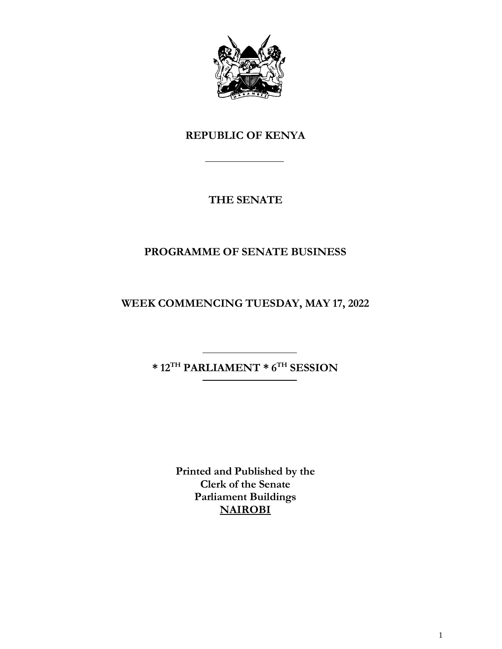

# **REPUBLIC OF KENYA**

# **THE SENATE**

# **PROGRAMME OF SENATE BUSINESS**

**WEEK COMMENCING TUESDAY, MAY 17, 2022**

**\* 12TH PARLIAMENT \* 6 TH SESSION**

**Printed and Published by the Clerk of the Senate Parliament Buildings NAIROBI**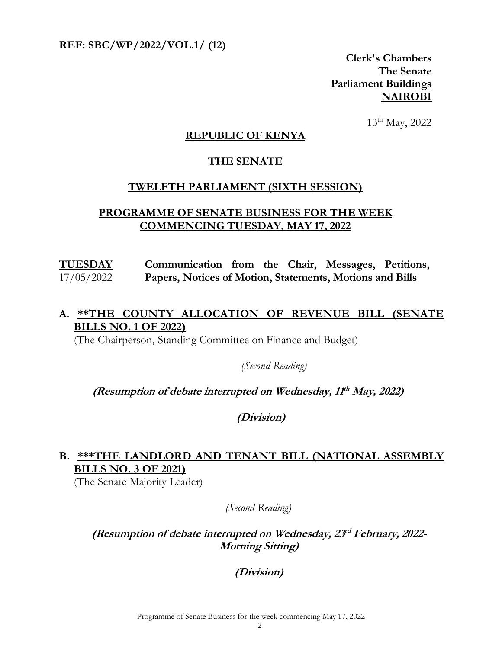**REF: SBC/WP/2022/VOL.1/ (12)** 

**Clerk's Chambers The Senate Parliament Buildings NAIROBI**

13th May, 2022

#### **REPUBLIC OF KENYA**

#### **THE SENATE**

#### **TWELFTH PARLIAMENT (SIXTH SESSION)**

#### **PROGRAMME OF SENATE BUSINESS FOR THE WEEK COMMENCING TUESDAY, MAY 17, 2022**

**TUESDAY** 17/05/2022 **Communication from the Chair, Messages, Petitions, Papers, Notices of Motion, Statements, Motions and Bills**

### **A. \*\*THE COUNTY ALLOCATION OF REVENUE BILL (SENATE BILLS NO. 1 OF 2022)**

(The Chairperson, Standing Committee on Finance and Budget)

*(Second Reading)*

**(Resumption of debate interrupted on Wednesday, 11 th May, 2022)**

**(Division)**

## **B. \*\*\*THE LANDLORD AND TENANT BILL (NATIONAL ASSEMBLY BILLS NO. 3 OF 2021)**

(The Senate Majority Leader)

*(Second Reading)*

**(Resumption of debate interrupted on Wednesday, 23 rd February, 2022- Morning Sitting)**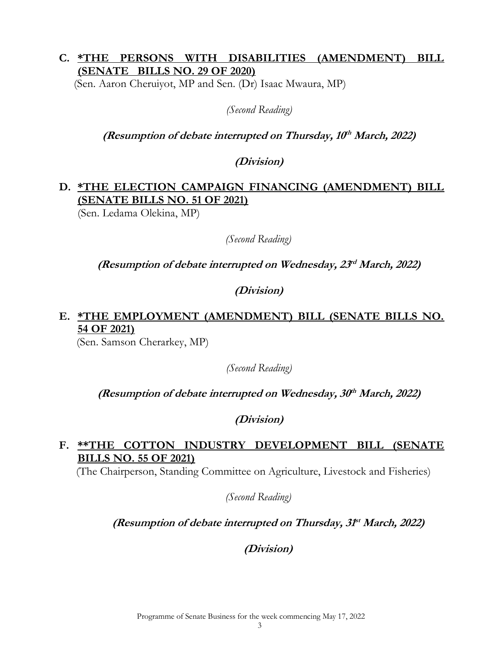### **C. \*THE PERSONS WITH DISABILITIES (AMENDMENT) BILL (SENATE BILLS NO. 29 OF 2020)**

(Sen. Aaron Cheruiyot, MP and Sen. (Dr) Isaac Mwaura, MP)

*(Second Reading)*

**(Resumption of debate interrupted on Thursday, 10 th March, 2022)**

**(Division)**

## **D. \*THE ELECTION CAMPAIGN FINANCING (AMENDMENT) BILL (SENATE BILLS NO. 51 OF 2021)**

(Sen. Ledama Olekina, MP)

*(Second Reading)*

**(Resumption of debate interrupted on Wednesday, 23 rd March, 2022)**

**(Division)**

# **E. \*THE EMPLOYMENT (AMENDMENT) BILL (SENATE BILLS NO. 54 OF 2021)**

(Sen. Samson Cherarkey, MP)

*(Second Reading)*

**(Resumption of debate interrupted on Wednesday, 30 th March, 2022)** 

**(Division)**

# **F. \*\*THE COTTON INDUSTRY DEVELOPMENT BILL (SENATE BILLS NO. 55 OF 2021)**

(The Chairperson, Standing Committee on Agriculture, Livestock and Fisheries)

*(Second Reading)*

**(Resumption of debate interrupted on Thursday, 31 st March, 2022)**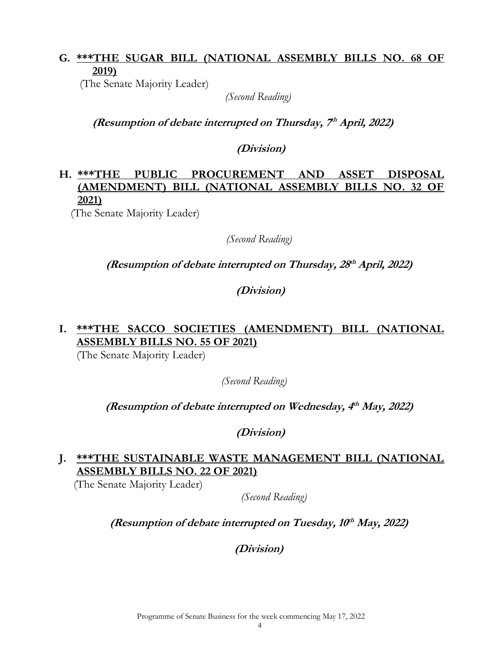## **G. \*\*\*THE SUGAR BILL (NATIONAL ASSEMBLY BILLS NO. 68 OF 2019)**

(The Senate Majority Leader)

*(Second Reading)*

(Resumption of debate interrupted on Thursday, 7<sup>th</sup> April, 2022)

**(Division)**

## **H. \*\*\*THE PUBLIC PROCUREMENT AND ASSET DISPOSAL (AMENDMENT) BILL (NATIONAL ASSEMBLY BILLS NO. 32 OF 2021)**

(The Senate Majority Leader)

*(Second Reading)*

**(Resumption of debate interrupted on Thursday, 28 th April, 2022)** 

### **(Division)**

## **I. \*\*\*THE SACCO SOCIETIES (AMENDMENT) BILL (NATIONAL ASSEMBLY BILLS NO. 55 OF 2021)**

(The Senate Majority Leader)

 *(Second Reading)*

(Resumption of debate interrupted on Wednesday, 4<sup>th</sup> May, 2022)

**(Division)**

### **J. \*\*\*THE SUSTAINABLE WASTE MANAGEMENT BILL (NATIONAL ASSEMBLY BILLS NO. 22 OF 2021)**

(The Senate Majority Leader)

*(Second Reading)*

**(Resumption of debate interrupted on Tuesday, 10 th May, 2022)**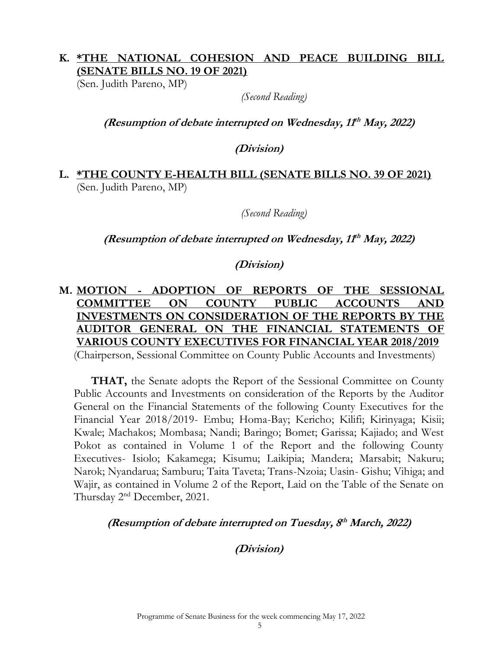### **K. \*THE NATIONAL COHESION AND PEACE BUILDING BILL (SENATE BILLS NO. 19 OF 2021)**

(Sen. Judith Pareno, MP)

*(Second Reading)*

**(Resumption of debate interrupted on Wednesday, 11 th May, 2022)**

**(Division)**

### **L. \*THE COUNTY E-HEALTH BILL (SENATE BILLS NO. 39 OF 2021)**  (Sen. Judith Pareno, MP)

*(Second Reading)*

**(Resumption of debate interrupted on Wednesday, 11 th May, 2022)**

**(Division)**

## **M. MOTION - ADOPTION OF REPORTS OF THE SESSIONAL COMMITTEE ON COUNTY PUBLIC ACCOUNTS AND INVESTMENTS ON CONSIDERATION OF THE REPORTS BY THE AUDITOR GENERAL ON THE FINANCIAL STATEMENTS OF VARIOUS COUNTY EXECUTIVES FOR FINANCIAL YEAR 2018/2019**

(Chairperson, Sessional Committee on County Public Accounts and Investments)

**THAT,** the Senate adopts the Report of the Sessional Committee on County Public Accounts and Investments on consideration of the Reports by the Auditor General on the Financial Statements of the following County Executives for the Financial Year 2018/2019- Embu; Homa-Bay; Kericho; Kilifi; Kirinyaga; Kisii; Kwale; Machakos; Mombasa; Nandi; Baringo; Bomet; Garissa; Kajiado; and West Pokot as contained in Volume 1 of the Report and the following County Executives- Isiolo; Kakamega; Kisumu; Laikipia; Mandera; Marsabit; Nakuru; Narok; Nyandarua; Samburu; Taita Taveta; Trans-Nzoia; Uasin- Gishu; Vihiga; and Wajir, as contained in Volume 2 of the Report, Laid on the Table of the Senate on Thursday 2<sup>nd</sup> December, 2021.

**(Resumption of debate interrupted on Tuesday, 8 th March, 2022)**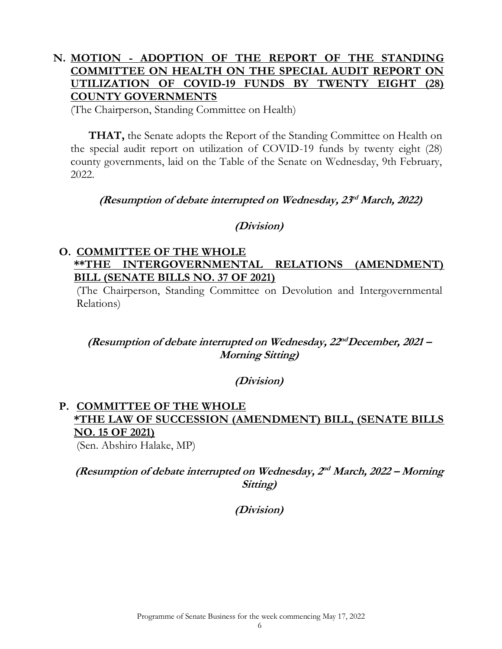## **N. MOTION - ADOPTION OF THE REPORT OF THE STANDING COMMITTEE ON HEALTH ON THE SPECIAL AUDIT REPORT ON UTILIZATION OF COVID-19 FUNDS BY TWENTY EIGHT (28) COUNTY GOVERNMENTS**

(The Chairperson, Standing Committee on Health)

**THAT,** the Senate adopts the Report of the Standing Committee on Health on the special audit report on utilization of COVID-19 funds by twenty eight (28) county governments, laid on the Table of the Senate on Wednesday, 9th February, 2022.

**(Resumption of debate interrupted on Wednesday, 23 rd March, 2022)**

#### **(Division)**

## **O. COMMITTEE OF THE WHOLE \*\*THE INTERGOVERNMENTAL RELATIONS (AMENDMENT) BILL (SENATE BILLS NO. 37 OF 2021)**

(The Chairperson, Standing Committee on Devolution and Intergovernmental Relations)

## (Resumption of debate interrupted on Wednesday,  $22^{nd}$ December, 2021 – **Morning Sitting)**

#### **(Division)**

#### **P. COMMITTEE OF THE WHOLE \*THE LAW OF SUCCESSION (AMENDMENT) BILL, (SENATE BILLS NO. 15 OF 2021)** (Sen. Abshiro Halake, MP)

(Resumption of debate interrupted on Wednesday, 2<sup>nd</sup> March, 2022 – Morning **Sitting)**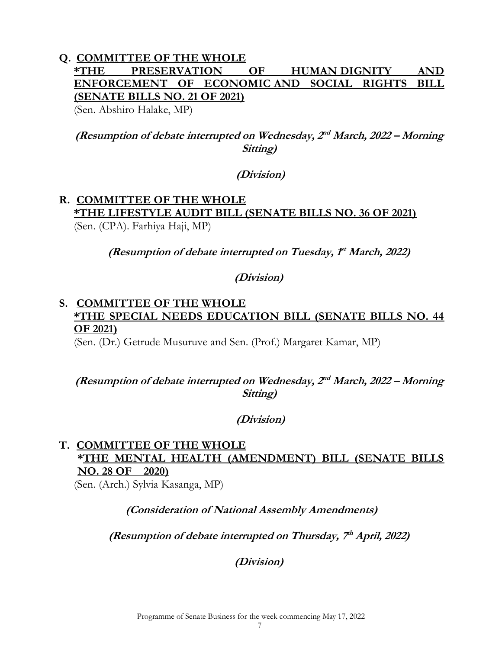### **Q. COMMITTEE OF THE WHOLE**

# **\*THE PRESERVATION OF HUMAN DIGNITY AND ENFORCEMENT OF ECONOMIC AND SOCIAL RIGHTS BILL (SENATE BILLS NO. 21 OF 2021)**

(Sen. Abshiro Halake, MP)

### (Resumption of debate interrupted on Wednesday,  $2^{nd}$  March, 2022 – Morning **Sitting)**

### **(Division)**

#### **R. COMMITTEE OF THE WHOLE \*THE LIFESTYLE AUDIT BILL (SENATE BILLS NO. 36 OF 2021)**  (Sen. (CPA). Farhiya Haji, MP)

(Resumption of debate interrupted on Tuesday,  $f^*$  March, 2022)

### **(Division)**

## **S. COMMITTEE OF THE WHOLE \*THE SPECIAL NEEDS EDUCATION BILL (SENATE BILLS NO. 44 OF 2021)**

(Sen. (Dr.) Getrude Musuruve and Sen. (Prof.) Margaret Kamar, MP)

## (Resumption of debate interrupted on Wednesday, 2<sup>nd</sup> March, 2022 – Morning **Sitting)**

### **(Division)**

# **T. COMMITTEE OF THE WHOLE \*THE MENTAL HEALTH (AMENDMENT) BILL (SENATE BILLS NO. 28 OF 2020)**

(Sen. (Arch.) Sylvia Kasanga, MP)

**(Consideration of National Assembly Amendments)**

(Resumption of debate interrupted on Thursday, 7<sup>th</sup> April, 2022)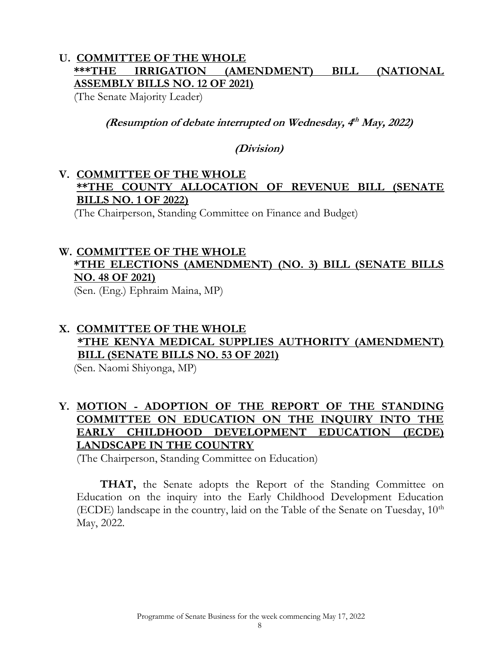### **U. COMMITTEE OF THE WHOLE \*\*\*THE IRRIGATION (AMENDMENT) BILL (NATIONAL ASSEMBLY BILLS NO. 12 OF 2021)**

(The Senate Majority Leader)

(Resumption of debate interrupted on Wednesday, 4<sup>th</sup> May, 2022)

## **(Division)**

## **V. COMMITTEE OF THE WHOLE \*\*THE COUNTY ALLOCATION OF REVENUE BILL (SENATE BILLS NO. 1 OF 2022)**

(The Chairperson, Standing Committee on Finance and Budget)

# **W. COMMITTEE OF THE WHOLE \*THE ELECTIONS (AMENDMENT) (NO. 3) BILL (SENATE BILLS NO. 48 OF 2021)**

(Sen. (Eng.) Ephraim Maina, MP)

# **X. COMMITTEE OF THE WHOLE \*THE KENYA MEDICAL SUPPLIES AUTHORITY (AMENDMENT) BILL (SENATE BILLS NO. 53 OF 2021)**

(Sen. Naomi Shiyonga, MP)

## **Y. MOTION - ADOPTION OF THE REPORT OF THE STANDING COMMITTEE ON EDUCATION ON THE INQUIRY INTO THE EARLY CHILDHOOD DEVELOPMENT EDUCATION (ECDE) LANDSCAPE IN THE COUNTRY**

(The Chairperson, Standing Committee on Education)

**THAT,** the Senate adopts the Report of the Standing Committee on Education on the inquiry into the Early Childhood Development Education (ECDE) landscape in the country, laid on the Table of the Senate on Tuesday,  $10^{th}$ May, 2022.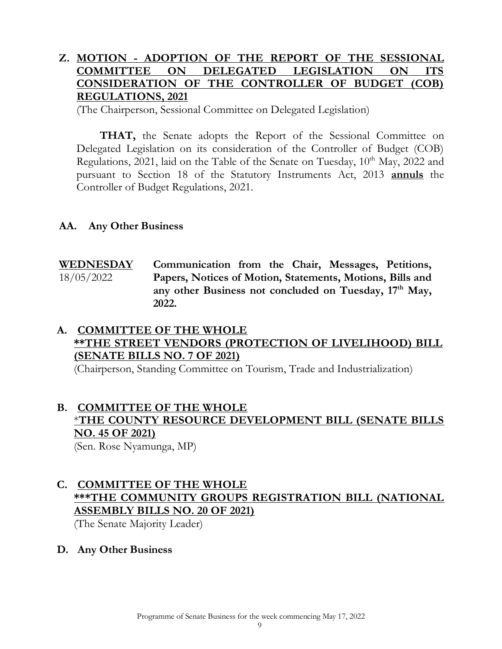### **Z. MOTION - ADOPTION OF THE REPORT OF THE SESSIONAL COMMITTEE ON DELEGATED LEGISLATION ON ITS CONSIDERATION OF THE CONTROLLER OF BUDGET (COB) REGULATIONS, 2021**

(The Chairperson, Sessional Committee on Delegated Legislation)

 **THAT,** the Senate adopts the Report of the Sessional Committee on Delegated Legislation on its consideration of the Controller of Budget (COB) Regulations, 2021, laid on the Table of the Senate on Tuesday,  $10<sup>th</sup>$  May, 2022 and pursuant to Section 18 of the Statutory Instruments Act, 2013 **annuls** the Controller of Budget Regulations, 2021.

#### **AA. Any Other Business**

**WEDNESDAY**  18/05/2022 **Communication from the Chair, Messages, Petitions, Papers, Notices of Motion, Statements, Motions, Bills and any other Business not concluded on Tuesday, 17th May, 2022.** 

## **A. COMMITTEE OF THE WHOLE \*\*THE STREET VENDORS (PROTECTION OF LIVELIHOOD) BILL (SENATE BILLS NO. 7 OF 2021)**

(Chairperson, Standing Committee on Tourism, Trade and Industrialization)

# **B. COMMITTEE OF THE WHOLE** \***THE COUNTY RESOURCE DEVELOPMENT BILL (SENATE BILLS NO. 45 OF 2021)**

(Sen. Rose Nyamunga, MP)

## **C. COMMITTEE OF THE WHOLE \*\*\*THE COMMUNITY GROUPS REGISTRATION BILL (NATIONAL ASSEMBLY BILLS NO. 20 OF 2021)**

(The Senate Majority Leader)

#### **D. Any Other Business**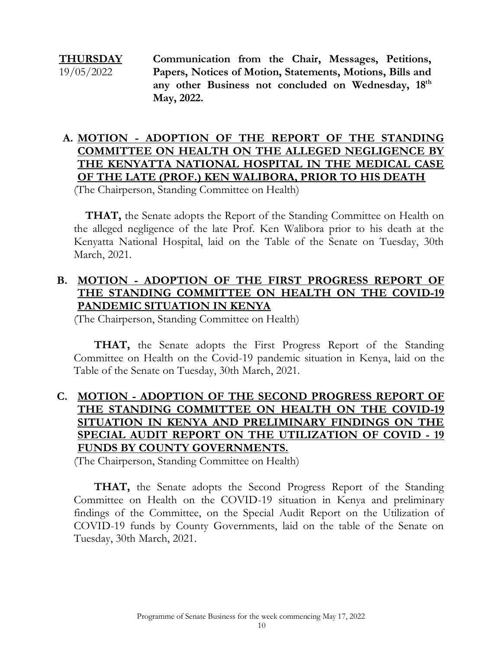**THURSDAY**  19/05/2022 **Communication from the Chair, Messages, Petitions, Papers, Notices of Motion, Statements, Motions, Bills and any other Business not concluded on Wednesday, 18th May, 2022.**

## **A. MOTION - ADOPTION OF THE REPORT OF THE STANDING COMMITTEE ON HEALTH ON THE ALLEGED NEGLIGENCE BY THE KENYATTA NATIONAL HOSPITAL IN THE MEDICAL CASE OF THE LATE (PROF.) KEN WALIBORA, PRIOR TO HIS DEATH**

(The Chairperson, Standing Committee on Health)

**THAT,** the Senate adopts the Report of the Standing Committee on Health on the alleged negligence of the late Prof. Ken Walibora prior to his death at the Kenyatta National Hospital, laid on the Table of the Senate on Tuesday, 30th March, 2021.

## **B. MOTION - ADOPTION OF THE FIRST PROGRESS REPORT OF THE STANDING COMMITTEE ON HEALTH ON THE COVID-19 PANDEMIC SITUATION IN KENYA**

(The Chairperson, Standing Committee on Health)

 **THAT,** the Senate adopts the First Progress Report of the Standing Committee on Health on the Covid-19 pandemic situation in Kenya, laid on the Table of the Senate on Tuesday, 30th March, 2021.

## **C. MOTION - ADOPTION OF THE SECOND PROGRESS REPORT OF THE STANDING COMMITTEE ON HEALTH ON THE COVID-19 SITUATION IN KENYA AND PRELIMINARY FINDINGS ON THE SPECIAL AUDIT REPORT ON THE UTILIZATION OF COVID - 19 FUNDS BY COUNTY GOVERNMENTS.**

(The Chairperson, Standing Committee on Health)

 **THAT,** the Senate adopts the Second Progress Report of the Standing Committee on Health on the COVID-19 situation in Kenya and preliminary findings of the Committee, on the Special Audit Report on the Utilization of COVID-19 funds by County Governments, laid on the table of the Senate on Tuesday, 30th March, 2021.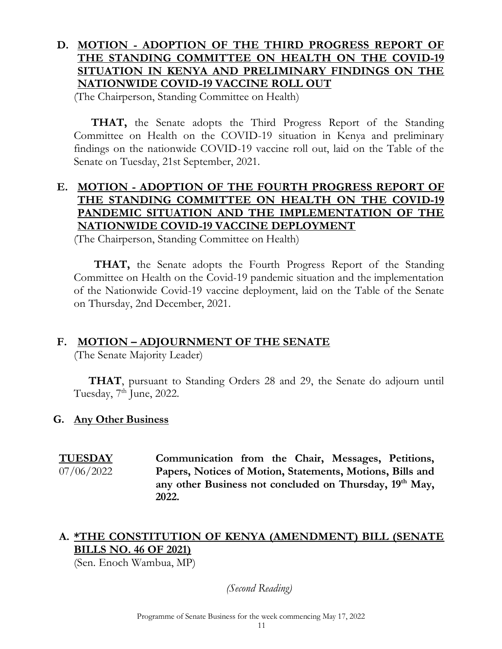## **D. MOTION - ADOPTION OF THE THIRD PROGRESS REPORT OF THE STANDING COMMITTEE ON HEALTH ON THE COVID-19 SITUATION IN KENYA AND PRELIMINARY FINDINGS ON THE NATIONWIDE COVID-19 VACCINE ROLL OUT**

(The Chairperson, Standing Committee on Health)

 **THAT,** the Senate adopts the Third Progress Report of the Standing Committee on Health on the COVID-19 situation in Kenya and preliminary findings on the nationwide COVID-19 vaccine roll out, laid on the Table of the Senate on Tuesday, 21st September, 2021.

### **E. MOTION - ADOPTION OF THE FOURTH PROGRESS REPORT OF THE STANDING COMMITTEE ON HEALTH ON THE COVID-19 PANDEMIC SITUATION AND THE IMPLEMENTATION OF THE NATIONWIDE COVID-19 VACCINE DEPLOYMENT**

(The Chairperson, Standing Committee on Health)

 **THAT,** the Senate adopts the Fourth Progress Report of the Standing Committee on Health on the Covid-19 pandemic situation and the implementation of the Nationwide Covid-19 vaccine deployment, laid on the Table of the Senate on Thursday, 2nd December, 2021.

## **F. MOTION – ADJOURNMENT OF THE SENATE**

(The Senate Majority Leader)

**THAT**, pursuant to Standing Orders 28 and 29, the Senate do adjourn until Tuesday,  $7<sup>th</sup>$  June, 2022.

### **G. Any Other Business**

**TUESDAY**  07/06/2022 **Communication from the Chair, Messages, Petitions, Papers, Notices of Motion, Statements, Motions, Bills and any other Business not concluded on Thursday, 19th May, 2022.** 

# **A. \*THE CONSTITUTION OF KENYA (AMENDMENT) BILL (SENATE BILLS NO. 46 OF 2021)**

(Sen. Enoch Wambua, MP)

## *(Second Reading)*